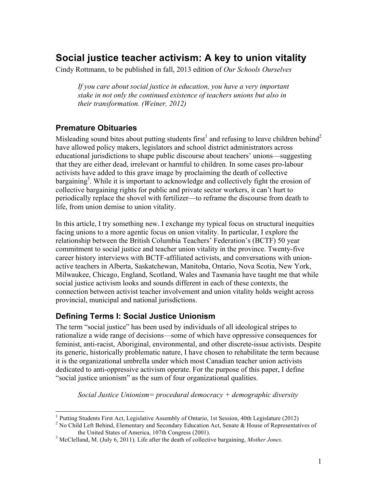# **Social justice teacher activism: A key to union vitality**

Cindy Rottmann, to be published in fall, 2013 edition of *Our Schools Ourselves*

*If you care about social justice in education, you have a very important stake in not only the continued existence of teachers unions but also in their transformation. (Weiner, 2012)*

### **Premature Obituaries**

Misleading sound bites about putting students first<sup>1</sup> and refusing to leave children behind<sup>2</sup> have allowed policy makers, legislators and school district administrators across educational jurisdictions to shape public discourse about teachers' unions—suggesting that they are either dead, irrelevant or harmful to children. In some cases pro-labour activists have added to this grave image by proclaiming the death of collective bargaining<sup>3</sup>. While it is important to acknowledge and collectively fight the erosion of collective bargaining rights for public and private sector workers, it can't hurt to periodically replace the shovel with fertilizer—to reframe the discourse from death to life, from union demise to union vitality.

In this article, I try something new. I exchange my typical focus on structural inequities facing unions to a more agentic focus on union vitality. In particular, I explore the relationship between the British Columbia Teachers' Federation's (BCTF) 50 year commitment to social justice and teacher union vitality in the province. Twenty-five career history interviews with BCTF-affiliated activists, and conversations with unionactive teachers in Alberta, Saskatchewan, Manitoba, Ontario, Nova Scotia, New York, Milwaukee, Chicago, England, Scotland, Wales and Tasmania have taught me that while social justice activism looks and sounds different in each of these contexts, the connection between activist teacher involvement and union vitality holds weight across provincial, municipal and national jurisdictions.

### **Defining Terms I: Social Justice Unionism**

The term "social justice" has been used by individuals of all ideological stripes to rationalize a wide range of decisions—some of which have oppressive consequences for feminist, anti-racist, Aboriginal, environmental, and other discrete-issue activists. Despite its generic, historically problematic nature, I have chosen to rehabilitate the term because it is the organizational umbrella under which most Canadian teacher union activists dedicated to anti-oppressive activism operate. For the purpose of this paper, I define "social justice unionism" as the sum of four organizational qualities.

*Social Justice Unionism= procedural democracy + demographic diversity* 

<sup>&</sup>lt;sup>1</sup> Putting Students First Act, Legislative Assembly of Ontario, 1st Session, 40th Legislature (2012)

<sup>&</sup>lt;sup>2</sup> No Child Left Behind, Elementary and Secondary Education Act, Senate & House of Representatives of the United States of America, 107th Congress (2001). <sup>3</sup> McClelland, M. (July 6, 2011). Life after the death of collective bargaining, *Mother Jones*.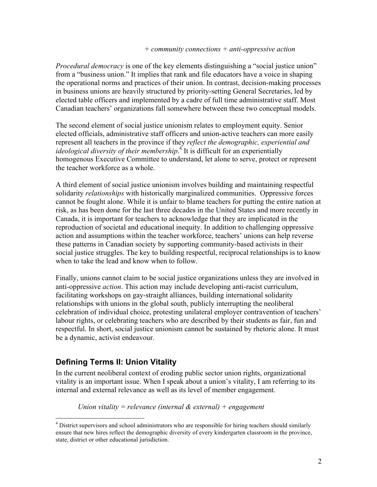#### *+ community connections + anti-oppressive action*

*Procedural democracy* is one of the key elements distinguishing a "social justice union" from a "business union." It implies that rank and file educators have a voice in shaping the operational norms and practices of their union. In contrast, decision-making processes in business unions are heavily structured by priority-setting General Secretaries, led by elected table officers and implemented by a cadre of full time administrative staff. Most Canadian teachers' organizations fall somewhere between these two conceptual models.

The second element of social justice unionism relates to employment equity. Senior elected officials, administrative staff officers and union-active teachers can more easily represent all teachers in the province if they *reflect the demographic, experiential and ideological diversity of their membership*. <sup>4</sup> It is difficult for an experientially homogenous Executive Committee to understand, let alone to serve, protect or represent the teacher workforce as a whole.

A third element of social justice unionism involves building and maintaining respectful solidarity *relationships* with historically marginalized communities. Oppressive forces cannot be fought alone. While it is unfair to blame teachers for putting the entire nation at risk, as has been done for the last three decades in the United States and more recently in Canada, it is important for teachers to acknowledge that they are implicated in the reproduction of societal and educational inequity. In addition to challenging oppressive action and assumptions within the teacher workforce, teachers' unions can help reverse these patterns in Canadian society by supporting community-based activists in their social justice struggles. The key to building respectful, reciprocal relationships is to know when to take the lead and know when to follow.

Finally, unions cannot claim to be social justice organizations unless they are involved in anti-oppressive *action*. This action may include developing anti-racist curriculum, facilitating workshops on gay-straight alliances, building international solidarity relationships with unions in the global south, publicly interrupting the neoliberal celebration of individual choice, protesting unilateral employer contravention of teachers' labour rights, or celebrating teachers who are described by their students as fair, fun and respectful. In short, social justice unionism cannot be sustained by rhetoric alone. It must be a dynamic, activist endeavour.

### **Defining Terms II: Union Vitality**

In the current neoliberal context of eroding public sector union rights, organizational vitality is an important issue. When I speak about a union's vitality, I am referring to its internal and external relevance as well as its level of member engagement.

*Union vitality = relevance (internal & external) + engagement*

<sup>&</sup>lt;sup>4</sup> District supervisors and school administrators who are responsible for hiring teachers should similarly ensure that new hires reflect the demographic diversity of every kindergarten classroom in the province, state, district or other educational jurisdiction.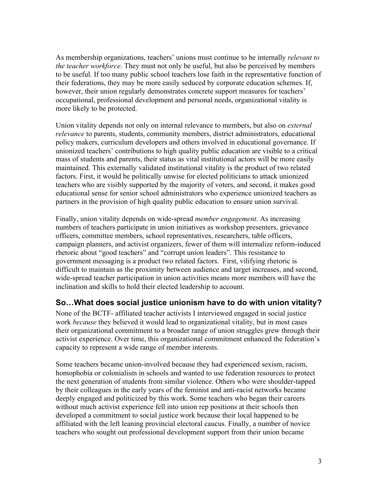As membership organizations, teachers' unions must continue to be internally *relevant to the teacher workforce*. They must not only be useful, but also be perceived by members to be useful. If too many public school teachers lose faith in the representative function of their federations, they may be more easily seduced by corporate education schemes. If, however, their union regularly demonstrates concrete support measures for teachers' occupational, professional development and personal needs, organizational vitality is more likely to be protected.

Union vitality depends not only on internal relevance to members, but also on *external relevance* to parents, students, community members, district administrators, educational policy makers, curriculum developers and others involved in educational governance. If unionized teachers' contributions to high quality public education are visible to a critical mass of students and parents, their status as vital institutional actors will be more easily maintained. This externally validated institutional vitality is the product of two related factors. First, it would be politically unwise for elected politicians to attack unionized teachers who are visibly supported by the majority of voters, and second, it makes good educational sense for senior school administrators who experience unionized teachers as partners in the provision of high quality public education to ensure union survival.

Finally, union vitality depends on wide-spread *member engagement*. As increasing numbers of teachers participate in union initiatives as workshop presenters, grievance officers, committee members, school representatives, researchers, table officers, campaign planners, and activist organizers, fewer of them will internalize reform-induced rhetoric about "good teachers" and "corrupt union leaders". This resistance to government messaging is a product two related factors. First, vilifying rhetoric is difficult to maintain as the proximity between audience and target increases, and second, wide-spread teacher participation in union activities means more members will have the inclination and skills to hold their elected leadership to account.

### **So…What does social justice unionism have to do with union vitality?**

None of the BCTF- affiliated teacher activists I interviewed engaged in social justice work *because* they believed it would lead to organizational vitality, but in most cases their organizational commitment to a broader range of union struggles grew through their activist experience. Over time, this organizational commitment enhanced the federation's capacity to represent a wide range of member interests.

Some teachers became union-involved because they had experienced sexism, racism, homophobia or colonialism in schools and wanted to use federation resources to protect the next generation of students from similar violence. Others who were shoulder-tapped by their colleagues in the early years of the feminist and anti-racist networks became deeply engaged and politicized by this work. Some teachers who began their careers without much activist experience fell into union rep positions at their schools then developed a commitment to social justice work because their local happened to be affiliated with the left leaning provincial electoral caucus. Finally, a number of novice teachers who sought out professional development support from their union became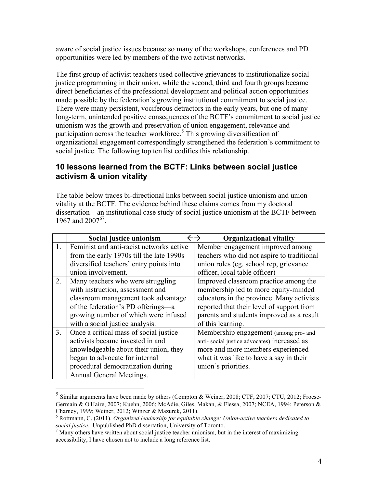aware of social justice issues because so many of the workshops, conferences and PD opportunities were led by members of the two activist networks.

The first group of activist teachers used collective grievances to institutionalize social justice programming in their union, while the second, third and fourth groups became direct beneficiaries of the professional development and political action opportunities made possible by the federation's growing institutional commitment to social justice. There were many persistent, vociferous detractors in the early years, but one of many long-term, unintended positive consequences of the BCTF's commitment to social justice unionism was the growth and preservation of union engagement, relevance and participation across the teacher workforce. <sup>5</sup> This growing diversification of organizational engagement correspondingly strengthened the federation's commitment to social justice. The following top ten list codifies this relationship.

#### **10 lessons learned from the BCTF: Links between social justice activism & union vitality**

The table below traces bi-directional links between social justice unionism and union vitality at the BCTF. The evidence behind these claims comes from my doctoral dissertation—an institutional case study of social justice unionism at the BCTF between 1967 and 2007<sup>67</sup>.

|                | Social justice unionism                  | <b>Organizational vitality</b><br>$\leftarrow$ $\rightarrow$ |
|----------------|------------------------------------------|--------------------------------------------------------------|
| 1.             | Feminist and anti-racist networks active | Member engagement improved among                             |
|                | from the early 1970s till the late 1990s | teachers who did not aspire to traditional                   |
|                | diversified teachers' entry points into  | union roles (eg. school rep, grievance                       |
|                | union involvement.                       | officer, local table officer)                                |
| 2.             | Many teachers who were struggling        | Improved classroom practice among the                        |
|                | with instruction, assessment and         | membership led to more equity-minded                         |
|                | classroom management took advantage      | educators in the province. Many activists                    |
|                | of the federation's PD offerings—a       | reported that their level of support from                    |
|                | growing number of which were infused     | parents and students improved as a result                    |
|                | with a social justice analysis.          | of this learning.                                            |
| 3 <sub>1</sub> | Once a critical mass of social justice   | Membership engagement (among pro- and                        |
|                | activists became invested in and         | anti-social justice advocates) increased as                  |
|                | knowledgeable about their union, they    | more and more members experienced                            |
|                | began to advocate for internal           | what it was like to have a say in their                      |
|                | procedural democratization during        | union's priorities.                                          |
|                | Annual General Meetings.                 |                                                              |

 <sup>5</sup> Similar arguments have been made by others (Compton & Weiner, 2008; CTF, 2007; CTU, 2012; Froese-Germain & O'Haire, 2007; Kuehn, 2006; McAdie, Giles, Makan, & Flessa, 2007; NCEA, 1994; Peterson & Charney, 1999; Weiner, 2012; Winzer & Mazurek, 2011). 6 Rottmann, C. (2011). *Organized leadership for equitable change: Union-active teachers dedicated to* 

*social justice*. Unpublished PhD dissertation, University of Toronto.<br><sup>7</sup> Many others have written about social justice teacher unionism, but in the interest of maximizing

accessibility, I have chosen not to include a long reference list.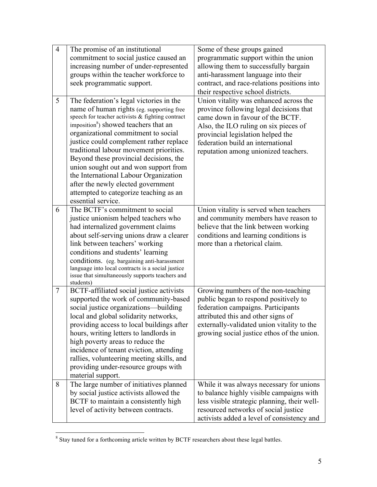| $\overline{4}$ | The promise of an institutional                                                                  | Some of these groups gained                  |
|----------------|--------------------------------------------------------------------------------------------------|----------------------------------------------|
|                | commitment to social justice caused an                                                           | programmatic support within the union        |
|                | increasing number of under-represented                                                           | allowing them to successfully bargain        |
|                | groups within the teacher workforce to                                                           | anti-harassment language into their          |
|                | seek programmatic support.                                                                       | contract, and race-relations positions into  |
|                |                                                                                                  | their respective school districts.           |
| 5              | The federation's legal victories in the                                                          | Union vitality was enhanced across the       |
|                | name of human rights (eg. supporting free                                                        | province following legal decisions that      |
|                | speech for teacher activists & fighting contract                                                 | came down in favour of the BCTF.             |
|                | imposition <sup>8</sup> ) showed teachers that an                                                | Also, the ILO ruling on six pieces of        |
|                | organizational commitment to social                                                              | provincial legislation helped the            |
|                | justice could complement rather replace                                                          | federation build an international            |
|                | traditional labour movement priorities.                                                          | reputation among unionized teachers.         |
|                | Beyond these provincial decisions, the                                                           |                                              |
|                | union sought out and won support from                                                            |                                              |
|                | the International Labour Organization                                                            |                                              |
|                | after the newly elected government                                                               |                                              |
|                | attempted to categorize teaching as an                                                           |                                              |
|                | essential service.                                                                               |                                              |
| 6              | The BCTF's commitment to social                                                                  | Union vitality is served when teachers       |
|                | justice unionism helped teachers who                                                             | and community members have reason to         |
|                | had internalized government claims                                                               | believe that the link between working        |
|                | about self-serving unions draw a clearer                                                         | conditions and learning conditions is        |
|                | link between teachers' working                                                                   | more than a rhetorical claim.                |
|                | conditions and students' learning                                                                |                                              |
|                | conditions. (eg. bargaining anti-harassment<br>language into local contracts is a social justice |                                              |
|                | issue that simultaneously supports teachers and                                                  |                                              |
|                | students)                                                                                        |                                              |
| $\overline{7}$ | BCTF-affiliated social justice activists                                                         | Growing numbers of the non-teaching          |
|                | supported the work of community-based                                                            | public began to respond positively to        |
|                | social justice organizations-building                                                            | federation campaigns. Participants           |
|                | local and global solidarity networks,                                                            | attributed this and other signs of           |
|                | providing access to local buildings after                                                        | externally-validated union vitality to the   |
|                | hours, writing letters to landlords in                                                           | growing social justice ethos of the union.   |
|                | high poverty areas to reduce the                                                                 |                                              |
|                | incidence of tenant eviction, attending                                                          |                                              |
|                | rallies, volunteering meeting skills, and                                                        |                                              |
|                | providing under-resource groups with                                                             |                                              |
|                | material support.                                                                                |                                              |
| 8              | The large number of initiatives planned                                                          | While it was always necessary for unions     |
|                | by social justice activists allowed the                                                          | to balance highly visible campaigns with     |
|                | BCTF to maintain a consistently high                                                             | less visible strategic planning, their well- |
|                | level of activity between contracts.                                                             | resourced networks of social justice         |
|                |                                                                                                  | activists added a level of consistency and   |

<sup>&</sup>lt;sup>8</sup> Stay tuned for a forthcoming article written by BCTF researchers about these legal battles.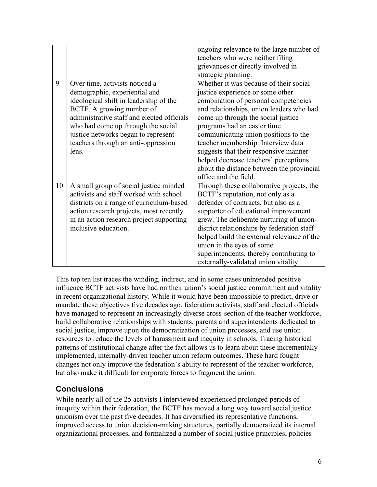|    |                                                                                                                                                                                                                                                                                                                   | ongoing relevance to the large number of<br>teachers who were neither filing<br>grievances or directly involved in<br>strategic planning.                                                                                                                                                                                                                                                                                                                                 |
|----|-------------------------------------------------------------------------------------------------------------------------------------------------------------------------------------------------------------------------------------------------------------------------------------------------------------------|---------------------------------------------------------------------------------------------------------------------------------------------------------------------------------------------------------------------------------------------------------------------------------------------------------------------------------------------------------------------------------------------------------------------------------------------------------------------------|
| 9  | Over time, activists noticed a<br>demographic, experiential and<br>ideological shift in leadership of the<br>BCTF. A growing number of<br>administrative staff and elected officials<br>who had come up through the social<br>justice networks began to represent<br>teachers through an anti-oppression<br>lens. | Whether it was because of their social<br>justice experience or some other<br>combination of personal competencies<br>and relationships, union leaders who had<br>come up through the social justice<br>programs had an easier time<br>communicating union positions to the<br>teacher membership. Interview data<br>suggests that their responsive manner<br>helped decrease teachers' perceptions<br>about the distance between the provincial<br>office and the field. |
| 10 | A small group of social justice minded<br>activists and staff worked with school<br>districts on a range of curriculum-based<br>action research projects, most recently<br>in an action research project supporting<br>inclusive education.                                                                       | Through these collaborative projects, the<br>BCTF's reputation, not only as a<br>defender of contracts, but also as a<br>supporter of educational improvement<br>grew. The deliberate nurturing of union-<br>district relationships by federation staff<br>helped build the external relevance of the<br>union in the eyes of some<br>superintendents, thereby contributing to<br>externally-validated union vitality.                                                    |

This top ten list traces the winding, indirect, and in some cases unintended positive influence BCTF activists have had on their union's social justice commitment and vitality in recent organizational history. While it would have been impossible to predict, drive or mandate these objectives five decades ago, federation activists, staff and elected officials have managed to represent an increasingly diverse cross-section of the teacher workforce, build collaborative relationships with students, parents and superintendents dedicated to social justice, improve upon the democratization of union processes, and use union resources to reduce the levels of harassment and inequity in schools. Tracing historical patterns of institutional change after the fact allows us to learn about these incrementally implemented, internally-driven teacher union reform outcomes. These hard fought changes not only improve the federation's ability to represent of the teacher workforce, but also make it difficult for corporate forces to fragment the union.

## **Conclusions**

While nearly all of the 25 activists I interviewed experienced prolonged periods of inequity within their federation, the BCTF has moved a long way toward social justice unionism over the past five decades. It has diversified its representative functions, improved access to union decision-making structures, partially democratized its internal organizational processes, and formalized a number of social justice principles, policies